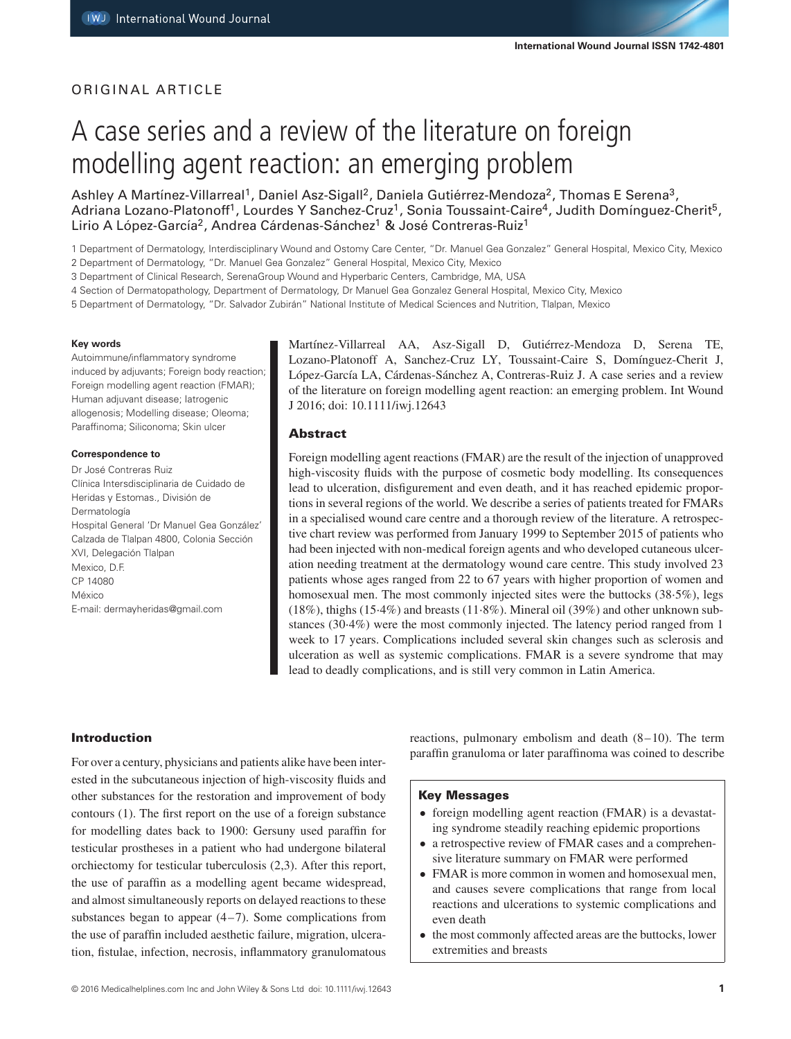# ORIGINAL ARTICLE

# A case series and a review of the literature on foreign modelling agent reaction: an emerging problem

Ashley A Martínez-Villarreal<sup>1</sup>, Daniel Asz-Sigall<sup>2</sup>, Daniela Gutiérrez-Mendoza<sup>2</sup>, Thomas E Serena<sup>3</sup>, Adriana Lozano-Platonoff<sup>1</sup>, Lourdes Y Sanchez-Cruz<sup>1</sup>, Sonia Toussaint-Caire<sup>4</sup>, Judith Domínguez-Cherit<sup>5</sup>, Lirio A López-García<sup>2</sup>, Andrea Cárdenas-Sánchez<sup>1</sup> & José Contreras-Ruiz<sup>1</sup>

1 Department of Dermatology, Interdisciplinary Wound and Ostomy Care Center, "Dr. Manuel Gea Gonzalez" General Hospital, Mexico City, Mexico

2 Department of Dermatology, "Dr. Manuel Gea Gonzalez" General Hospital, Mexico City, Mexico

3 Department of Clinical Research, SerenaGroup Wound and Hyperbaric Centers, Cambridge, MA, USA

4 Section of Dermatopathology, Department of Dermatology, Dr Manuel Gea Gonzalez General Hospital, Mexico City, Mexico

5 Department of Dermatology, "Dr. Salvador Zubirán" National Institute of Medical Sciences and Nutrition, Tlalpan, Mexico

#### **Key words**

Autoimmune/inflammatory syndrome induced by adjuvants; Foreign body reaction; Foreign modelling agent reaction (FMAR); Human adjuvant disease; Iatrogenic allogenosis; Modelling disease; Oleoma; Paraffinoma; Siliconoma; Skin ulcer

#### **Correspondence to**

Dr José Contreras Ruiz Clínica Intersdisciplinaria de Cuidado de Heridas y Estomas., División de Dermatología Hospital General 'Dr Manuel Gea González' Calzada de Tlalpan 4800, Colonia Sección XVI, Delegación Tlalpan Mexico, D.F. CP 14080 México E-mail: dermayheridas@gmail.com

Martínez-Villarreal AA, Asz-Sigall D, Gutiérrez-Mendoza D, Serena TE, Lozano-Platonoff A, Sanchez-Cruz LY, Toussaint-Caire S, Domínguez-Cherit J, López-García LA, Cárdenas-Sánchez A, Contreras-Ruiz J. A case series and a review of the literature on foreign modelling agent reaction: an emerging problem. Int Wound J 2016; doi: 10.1111/iwj.12643

# **Abstract**

Foreign modelling agent reactions (FMAR) are the result of the injection of unapproved high-viscosity fluids with the purpose of cosmetic body modelling. Its consequences lead to ulceration, disfigurement and even death, and it has reached epidemic proportions in several regions of the world. We describe a series of patients treated for FMARs in a specialised wound care centre and a thorough review of the literature. A retrospective chart review was performed from January 1999 to September 2015 of patients who had been injected with non-medical foreign agents and who developed cutaneous ulceration needing treatment at the dermatology wound care centre. This study involved 23 patients whose ages ranged from 22 to 67 years with higher proportion of women and homosexual men. The most commonly injected sites were the buttocks (38⋅5%), legs (18%), thighs (15⋅4%) and breasts (11⋅8%). Mineral oil (39%) and other unknown substances (30⋅4%) were the most commonly injected. The latency period ranged from 1 week to 17 years. Complications included several skin changes such as sclerosis and ulceration as well as systemic complications. FMAR is a severe syndrome that may lead to deadly complications, and is still very common in Latin America.

# **Introduction**

For over a century, physicians and patients alike have been interested in the subcutaneous injection of high-viscosity fluids and other substances for the restoration and improvement of body contours (1). The first report on the use of a foreign substance for modelling dates back to 1900: Gersuny used paraffin for testicular prostheses in a patient who had undergone bilateral orchiectomy for testicular tuberculosis (2,3). After this report, the use of paraffin as a modelling agent became widespread, and almost simultaneously reports on delayed reactions to these substances began to appear  $(4-7)$ . Some complications from the use of paraffin included aesthetic failure, migration, ulceration, fistulae, infection, necrosis, inflammatory granulomatous reactions, pulmonary embolism and death (8–10). The term paraffin granuloma or later paraffinoma was coined to describe

#### **Key Messages**

- foreign modelling agent reaction (FMAR) is a devastating syndrome steadily reaching epidemic proportions
- a retrospective review of FMAR cases and a comprehensive literature summary on FMAR were performed
- FMAR is more common in women and homosexual men, and causes severe complications that range from local reactions and ulcerations to systemic complications and even death
- the most commonly affected areas are the buttocks, lower extremities and breasts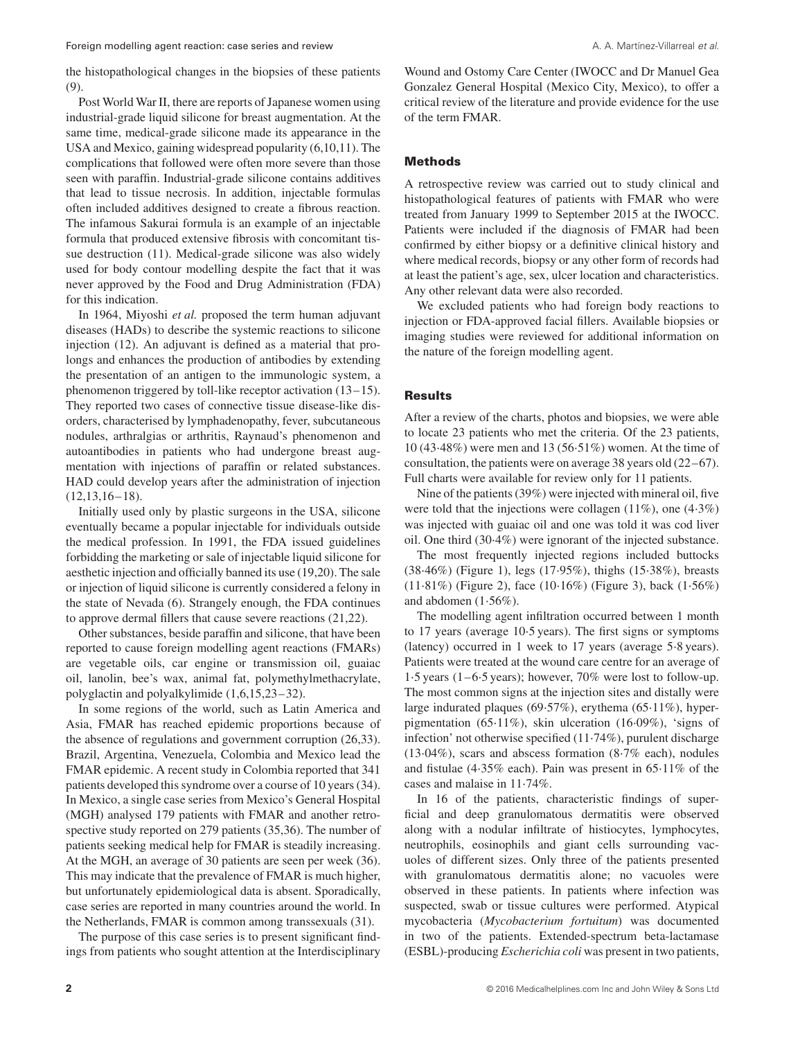the histopathological changes in the biopsies of these patients

(9). Post World War II, there are reports of Japanese women using industrial-grade liquid silicone for breast augmentation. At the same time, medical-grade silicone made its appearance in the USA and Mexico, gaining widespread popularity (6,10,11). The complications that followed were often more severe than those seen with paraffin. Industrial-grade silicone contains additives that lead to tissue necrosis. In addition, injectable formulas often included additives designed to create a fibrous reaction. The infamous Sakurai formula is an example of an injectable formula that produced extensive fibrosis with concomitant tissue destruction (11). Medical-grade silicone was also widely used for body contour modelling despite the fact that it was never approved by the Food and Drug Administration (FDA) for this indication.

In 1964, Miyoshi *et al.* proposed the term human adjuvant diseases (HADs) to describe the systemic reactions to silicone injection (12). An adjuvant is defined as a material that prolongs and enhances the production of antibodies by extending the presentation of an antigen to the immunologic system, a phenomenon triggered by toll-like receptor activation (13–15). They reported two cases of connective tissue disease-like disorders, characterised by lymphadenopathy, fever, subcutaneous nodules, arthralgias or arthritis, Raynaud's phenomenon and autoantibodies in patients who had undergone breast augmentation with injections of paraffin or related substances. HAD could develop years after the administration of injection (12,13,16–18).

Initially used only by plastic surgeons in the USA, silicone eventually became a popular injectable for individuals outside the medical profession. In 1991, the FDA issued guidelines forbidding the marketing or sale of injectable liquid silicone for aesthetic injection and officially banned its use (19,20). The sale or injection of liquid silicone is currently considered a felony in the state of Nevada (6). Strangely enough, the FDA continues to approve dermal fillers that cause severe reactions (21,22).

Other substances, beside paraffin and silicone, that have been reported to cause foreign modelling agent reactions (FMARs) are vegetable oils, car engine or transmission oil, guaiac oil, lanolin, bee's wax, animal fat, polymethylmethacrylate, polyglactin and polyalkylimide (1,6,15,23–32).

In some regions of the world, such as Latin America and Asia, FMAR has reached epidemic proportions because of the absence of regulations and government corruption (26,33). Brazil, Argentina, Venezuela, Colombia and Mexico lead the FMAR epidemic. A recent study in Colombia reported that 341 patients developed this syndrome over a course of 10 years (34). In Mexico, a single case series from Mexico's General Hospital (MGH) analysed 179 patients with FMAR and another retrospective study reported on 279 patients (35,36). The number of patients seeking medical help for FMAR is steadily increasing. At the MGH, an average of 30 patients are seen per week (36). This may indicate that the prevalence of FMAR is much higher, but unfortunately epidemiological data is absent. Sporadically, case series are reported in many countries around the world. In the Netherlands, FMAR is common among transsexuals (31).

The purpose of this case series is to present significant findings from patients who sought attention at the Interdisciplinary Wound and Ostomy Care Center (IWOCC and Dr Manuel Gea Gonzalez General Hospital (Mexico City, Mexico), to offer a critical review of the literature and provide evidence for the use of the term FMAR.

# **Methods**

A retrospective review was carried out to study clinical and histopathological features of patients with FMAR who were treated from January 1999 to September 2015 at the IWOCC. Patients were included if the diagnosis of FMAR had been confirmed by either biopsy or a definitive clinical history and where medical records, biopsy or any other form of records had at least the patient's age, sex, ulcer location and characteristics. Any other relevant data were also recorded.

We excluded patients who had foreign body reactions to injection or FDA-approved facial fillers. Available biopsies or imaging studies were reviewed for additional information on the nature of the foreign modelling agent.

# **Results**

After a review of the charts, photos and biopsies, we were able to locate 23 patients who met the criteria. Of the 23 patients, 10 (43⋅48%) were men and 13 (56⋅51%) women. At the time of consultation, the patients were on average 38 years old (22–67). Full charts were available for review only for 11 patients.

Nine of the patients (39%) were injected with mineral oil, five were told that the injections were collagen (11%), one (4⋅3%) was injected with guaiac oil and one was told it was cod liver oil. One third (30⋅4%) were ignorant of the injected substance.

The most frequently injected regions included buttocks (38⋅46%) (Figure 1), legs (17⋅95%), thighs (15⋅38%), breasts (11⋅81%) (Figure 2), face (10⋅16%) (Figure 3), back (1⋅56%) and abdomen (1⋅56%).

The modelling agent infiltration occurred between 1 month to 17 years (average 10⋅5 years). The first signs or symptoms (latency) occurred in 1 week to 17 years (average 5⋅8 years). Patients were treated at the wound care centre for an average of 1⋅5 years (1–6⋅5 years); however, 70% were lost to follow-up. The most common signs at the injection sites and distally were large indurated plaques (69⋅57%), erythema (65⋅11%), hyperpigmentation (65⋅11%), skin ulceration (16⋅09%), 'signs of infection' not otherwise specified (11⋅74%), purulent discharge (13⋅04%), scars and abscess formation (8⋅7% each), nodules and fistulae (4⋅35% each). Pain was present in 65⋅11% of the cases and malaise in 11⋅74%.

In 16 of the patients, characteristic findings of superficial and deep granulomatous dermatitis were observed along with a nodular infiltrate of histiocytes, lymphocytes, neutrophils, eosinophils and giant cells surrounding vacuoles of different sizes. Only three of the patients presented with granulomatous dermatitis alone; no vacuoles were observed in these patients. In patients where infection was suspected, swab or tissue cultures were performed. Atypical mycobacteria (*Mycobacterium fortuitum*) was documented in two of the patients. Extended-spectrum beta-lactamase (ESBL)-producing *Escherichia coli* was present in two patients,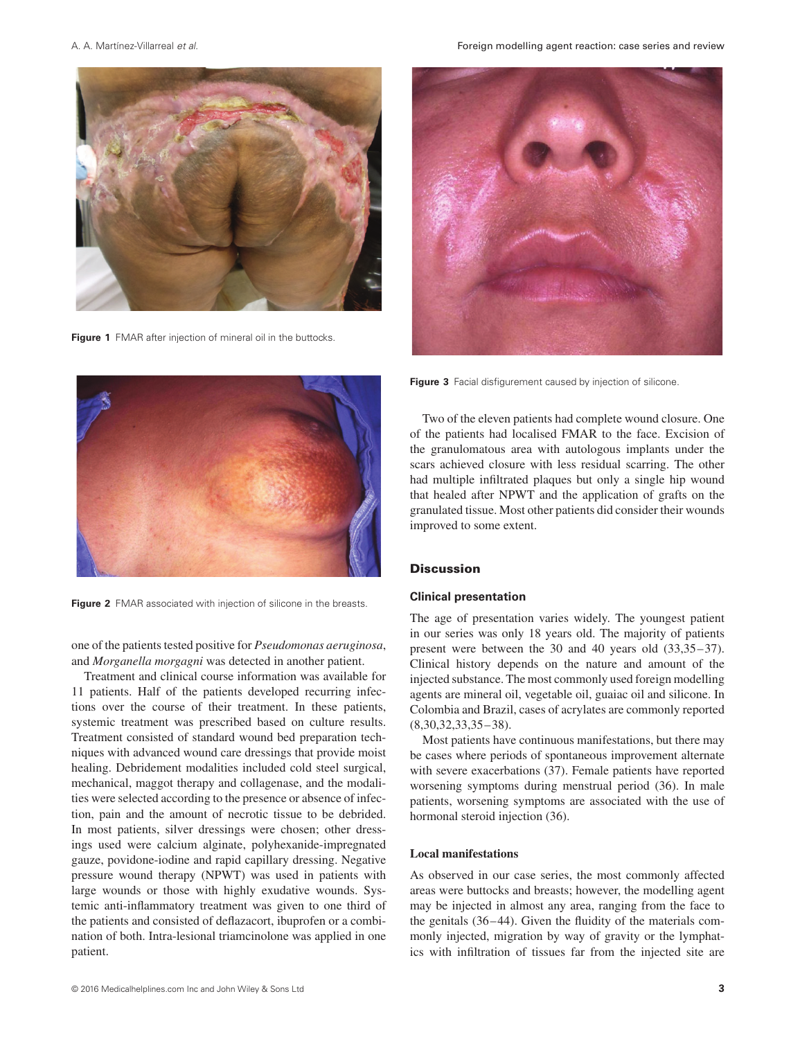

**Figure 1** FMAR after injection of mineral oil in the buttocks.



**Figure 2** FMAR associated with injection of silicone in the breasts.

one of the patients tested positive for *Pseudomonas aeruginosa*, and *Morganella morgagni* was detected in another patient.

Treatment and clinical course information was available for 11 patients. Half of the patients developed recurring infections over the course of their treatment. In these patients, systemic treatment was prescribed based on culture results. Treatment consisted of standard wound bed preparation techniques with advanced wound care dressings that provide moist healing. Debridement modalities included cold steel surgical, mechanical, maggot therapy and collagenase, and the modalities were selected according to the presence or absence of infection, pain and the amount of necrotic tissue to be debrided. In most patients, silver dressings were chosen; other dressings used were calcium alginate, polyhexanide-impregnated gauze, povidone-iodine and rapid capillary dressing. Negative pressure wound therapy (NPWT) was used in patients with large wounds or those with highly exudative wounds. Systemic anti-inflammatory treatment was given to one third of the patients and consisted of deflazacort, ibuprofen or a combination of both. Intra-lesional triamcinolone was applied in one patient.



**Figure 3** Facial disfigurement caused by injection of silicone.

Two of the eleven patients had complete wound closure. One of the patients had localised FMAR to the face. Excision of the granulomatous area with autologous implants under the scars achieved closure with less residual scarring. The other had multiple infiltrated plaques but only a single hip wound that healed after NPWT and the application of grafts on the granulated tissue. Most other patients did consider their wounds improved to some extent.

#### **Discussion**

#### **Clinical presentation**

The age of presentation varies widely. The youngest patient in our series was only 18 years old. The majority of patients present were between the 30 and 40 years old (33,35–37). Clinical history depends on the nature and amount of the injected substance. The most commonly used foreign modelling agents are mineral oil, vegetable oil, guaiac oil and silicone. In Colombia and Brazil, cases of acrylates are commonly reported (8,30,32,33,35–38).

Most patients have continuous manifestations, but there may be cases where periods of spontaneous improvement alternate with severe exacerbations (37). Female patients have reported worsening symptoms during menstrual period (36). In male patients, worsening symptoms are associated with the use of hormonal steroid injection (36).

# **Local manifestations**

As observed in our case series, the most commonly affected areas were buttocks and breasts; however, the modelling agent may be injected in almost any area, ranging from the face to the genitals (36–44). Given the fluidity of the materials commonly injected, migration by way of gravity or the lymphatics with infiltration of tissues far from the injected site are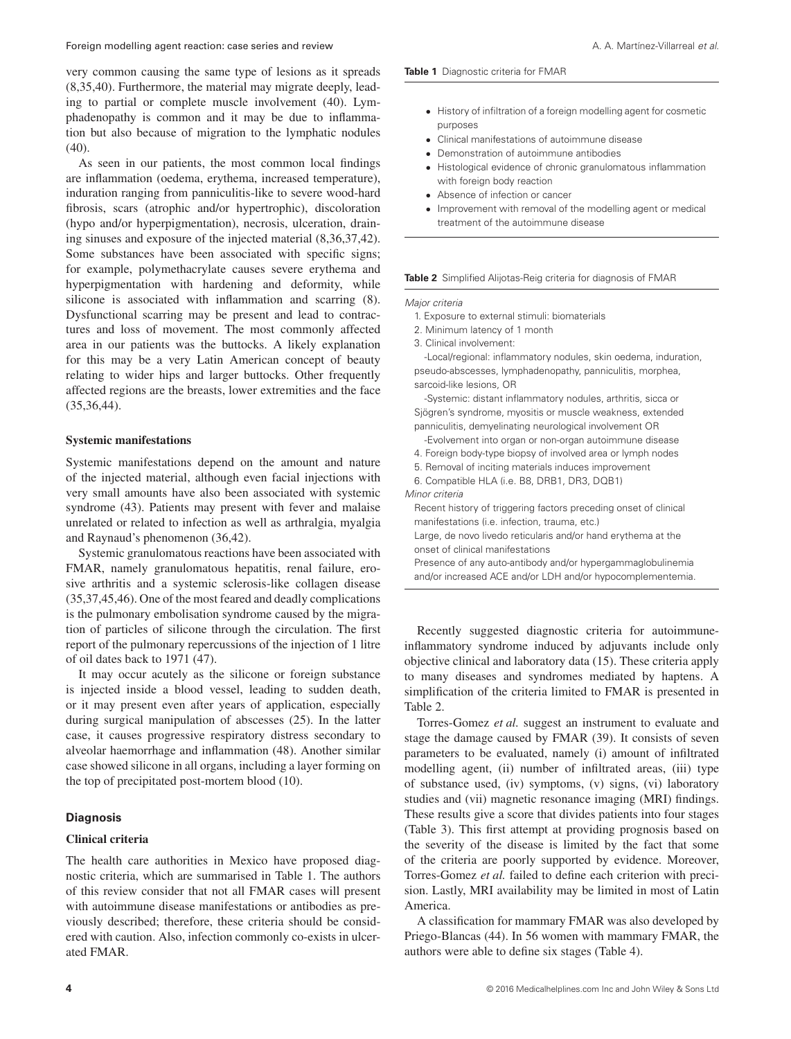very common causing the same type of lesions as it spreads (8,35,40). Furthermore, the material may migrate deeply, leading to partial or complete muscle involvement (40). Lymphadenopathy is common and it may be due to inflammation but also because of migration to the lymphatic nodules  $(40)$ .

As seen in our patients, the most common local findings are inflammation (oedema, erythema, increased temperature), induration ranging from panniculitis-like to severe wood-hard fibrosis, scars (atrophic and/or hypertrophic), discoloration (hypo and/or hyperpigmentation), necrosis, ulceration, draining sinuses and exposure of the injected material (8,36,37,42). Some substances have been associated with specific signs; for example, polymethacrylate causes severe erythema and hyperpigmentation with hardening and deformity, while silicone is associated with inflammation and scarring (8). Dysfunctional scarring may be present and lead to contractures and loss of movement. The most commonly affected area in our patients was the buttocks. A likely explanation for this may be a very Latin American concept of beauty relating to wider hips and larger buttocks. Other frequently affected regions are the breasts, lower extremities and the face (35,36,44).

# **Systemic manifestations**

Systemic manifestations depend on the amount and nature of the injected material, although even facial injections with very small amounts have also been associated with systemic syndrome (43). Patients may present with fever and malaise unrelated or related to infection as well as arthralgia, myalgia and Raynaud's phenomenon (36,42).

Systemic granulomatous reactions have been associated with FMAR, namely granulomatous hepatitis, renal failure, erosive arthritis and a systemic sclerosis-like collagen disease (35,37,45,46). One of the most feared and deadly complications is the pulmonary embolisation syndrome caused by the migration of particles of silicone through the circulation. The first report of the pulmonary repercussions of the injection of 1 litre of oil dates back to 1971 (47).

It may occur acutely as the silicone or foreign substance is injected inside a blood vessel, leading to sudden death, or it may present even after years of application, especially during surgical manipulation of abscesses (25). In the latter case, it causes progressive respiratory distress secondary to alveolar haemorrhage and inflammation (48). Another similar case showed silicone in all organs, including a layer forming on the top of precipitated post-mortem blood (10).

# **Diagnosis**

# **Clinical criteria**

The health care authorities in Mexico have proposed diagnostic criteria, which are summarised in Table 1. The authors of this review consider that not all FMAR cases will present with autoimmune disease manifestations or antibodies as previously described; therefore, these criteria should be considered with caution. Also, infection commonly co-exists in ulcerated FMAR.

#### **Table 1** Diagnostic criteria for FMAR

- History of infiltration of a foreign modelling agent for cosmetic purposes
- Clinical manifestations of autoimmune disease
- Demonstration of autoimmune antibodies
- Histological evidence of chronic granulomatous inflammation with foreign body reaction
- Absence of infection or cancer
- Improvement with removal of the modelling agent or medical treatment of the autoimmune disease

Major criteria

- 1. Exposure to external stimuli: biomaterials
- 2. Minimum latency of 1 month
- 3. Clinical involvement:

-Local/regional: inflammatory nodules, skin oedema, induration, pseudo-abscesses, lymphadenopathy, panniculitis, morphea, sarcoid-like lesions, OR

-Systemic: distant inflammatory nodules, arthritis, sicca or Sjögren's syndrome, myositis or muscle weakness, extended panniculitis, demyelinating neurological involvement OR

-Evolvement into organ or non-organ autoimmune disease

- 4. Foreign body-type biopsy of involved area or lymph nodes
- 5. Removal of inciting materials induces improvement
- 6. Compatible HLA (i.e. B8, DRB1, DR3, DQB1) Minor criteria

Recent history of triggering factors preceding onset of clinical manifestations (i.e. infection, trauma, etc.) Large, de novo livedo reticularis and/or hand erythema at the onset of clinical manifestations

Presence of any auto-antibody and/or hypergammaglobulinemia and/or increased ACE and/or LDH and/or hypocomplementemia.

Recently suggested diagnostic criteria for autoimmuneinflammatory syndrome induced by adjuvants include only objective clinical and laboratory data (15). These criteria apply to many diseases and syndromes mediated by haptens. A simplification of the criteria limited to FMAR is presented in Table 2.

Torres-Gomez *et al.* suggest an instrument to evaluate and stage the damage caused by FMAR (39). It consists of seven parameters to be evaluated, namely (i) amount of infiltrated modelling agent, (ii) number of infiltrated areas, (iii) type of substance used, (iv) symptoms, (v) signs, (vi) laboratory studies and (vii) magnetic resonance imaging (MRI) findings. These results give a score that divides patients into four stages (Table 3). This first attempt at providing prognosis based on the severity of the disease is limited by the fact that some of the criteria are poorly supported by evidence. Moreover, Torres-Gomez *et al.* failed to define each criterion with precision. Lastly, MRI availability may be limited in most of Latin America.

A classification for mammary FMAR was also developed by Priego-Blancas (44). In 56 women with mammary FMAR, the authors were able to define six stages (Table 4).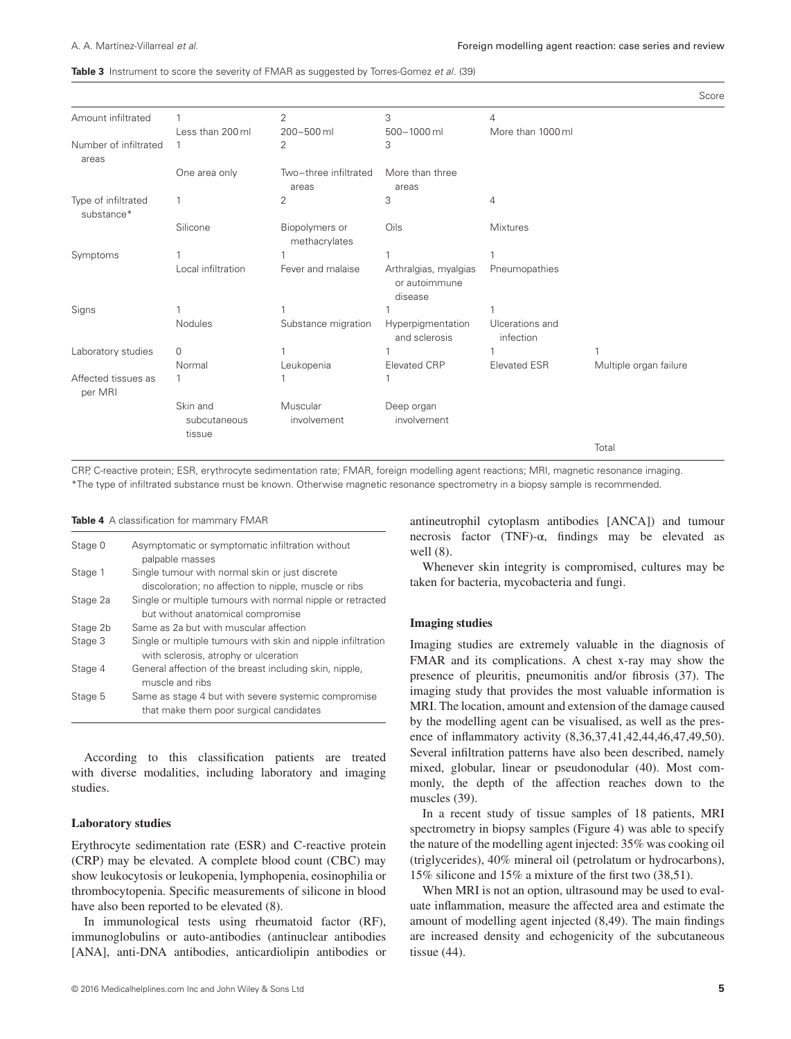Table 3 Instrument to score the severity of FMAR as suggested by Torres-Gomez et al. (39)

|                                   |                                    |                                 |                                                   |                              |                        | Score |
|-----------------------------------|------------------------------------|---------------------------------|---------------------------------------------------|------------------------------|------------------------|-------|
| Amount infiltrated                |                                    | $\overline{2}$                  | 3                                                 | 4                            |                        |       |
|                                   | Less than 200 ml                   | $200 - 500$ ml                  | $500 - 1000$ ml                                   | More than 1000 ml            |                        |       |
| Number of infiltrated<br>areas    |                                    | 2                               | 3                                                 |                              |                        |       |
|                                   | One area only                      | Two-three infiltrated<br>areas  | More than three<br>areas                          |                              |                        |       |
| Type of infiltrated<br>substance* | 1                                  | $\overline{2}$                  | 3                                                 | 4                            |                        |       |
|                                   | Silicone                           | Biopolymers or<br>methacrylates | Oils                                              | <b>Mixtures</b>              |                        |       |
| Symptoms                          |                                    |                                 |                                                   |                              |                        |       |
|                                   | Local infiltration                 | Fever and malaise               | Arthralgias, myalgias<br>or autoimmune<br>disease | Pneumopathies                |                        |       |
| Signs                             |                                    |                                 |                                                   |                              |                        |       |
|                                   | Nodules                            | Substance migration             | Hyperpigmentation<br>and sclerosis                | Ulcerations and<br>infection |                        |       |
| Laboratory studies                | $\mathbf 0$                        |                                 |                                                   |                              |                        |       |
|                                   | Normal                             | Leukopenia                      | Elevated CRP                                      | <b>Elevated ESR</b>          | Multiple organ failure |       |
| Affected tissues as<br>per MRI    | 1                                  |                                 |                                                   |                              |                        |       |
|                                   | Skin and<br>subcutaneous<br>tissue | Muscular<br>involvement         | Deep organ<br>involvement                         |                              |                        |       |
|                                   |                                    |                                 |                                                   |                              | Total                  |       |

CRP, C-reactive protein; ESR, erythrocyte sedimentation rate; FMAR, foreign modelling agent reactions; MRI, magnetic resonance imaging. \*The type of infiltrated substance must be known. Otherwise magnetic resonance spectrometry in a biopsy sample is recommended.

| <b>Table 4</b> A classification for mammary FMAR |  |
|--------------------------------------------------|--|
|--------------------------------------------------|--|

| Stage 0  | Asymptomatic or symptomatic infiltration without<br>palpable masses                                      |
|----------|----------------------------------------------------------------------------------------------------------|
| Stage 1  | Single tumour with normal skin or just discrete<br>discoloration; no affection to nipple, muscle or ribs |
| Stage 2a | Single or multiple tumours with normal nipple or retracted<br>but without anatomical compromise          |
| Stage 2b | Same as 2a but with muscular affection                                                                   |
| Stage 3  | Single or multiple tumours with skin and nipple infiltration<br>with sclerosis, atrophy or ulceration    |
| Stage 4  | General affection of the breast including skin, nipple,<br>muscle and ribs                               |
| Stage 5  | Same as stage 4 but with severe systemic compromise<br>that make them poor surgical candidates           |

According to this classification patients are treated with diverse modalities, including laboratory and imaging studies.

#### **Laboratory studies**

Erythrocyte sedimentation rate (ESR) and C-reactive protein (CRP) may be elevated. A complete blood count (CBC) may show leukocytosis or leukopenia, lymphopenia, eosinophilia or thrombocytopenia. Specific measurements of silicone in blood have also been reported to be elevated (8).

In immunological tests using rheumatoid factor (RF), immunoglobulins or auto-antibodies (antinuclear antibodies [ANA], anti-DNA antibodies, anticardiolipin antibodies or antineutrophil cytoplasm antibodies [ANCA]) and tumour necrosis factor (TNF)-α, findings may be elevated as well (8).

Whenever skin integrity is compromised, cultures may be taken for bacteria, mycobacteria and fungi.

#### **Imaging studies**

Imaging studies are extremely valuable in the diagnosis of FMAR and its complications. A chest x-ray may show the presence of pleuritis, pneumonitis and/or fibrosis (37). The imaging study that provides the most valuable information is MRI. The location, amount and extension of the damage caused by the modelling agent can be visualised, as well as the presence of inflammatory activity (8,36,37,41,42,44,46,47,49,50). Several infiltration patterns have also been described, namely mixed, globular, linear or pseudonodular (40). Most commonly, the depth of the affection reaches down to the muscles (39).

In a recent study of tissue samples of 18 patients, MRI spectrometry in biopsy samples (Figure 4) was able to specify the nature of the modelling agent injected: 35% was cooking oil (triglycerides), 40% mineral oil (petrolatum or hydrocarbons), 15% silicone and 15% a mixture of the first two (38,51).

When MRI is not an option, ultrasound may be used to evaluate inflammation, measure the affected area and estimate the amount of modelling agent injected (8,49). The main findings are increased density and echogenicity of the subcutaneous tissue (44).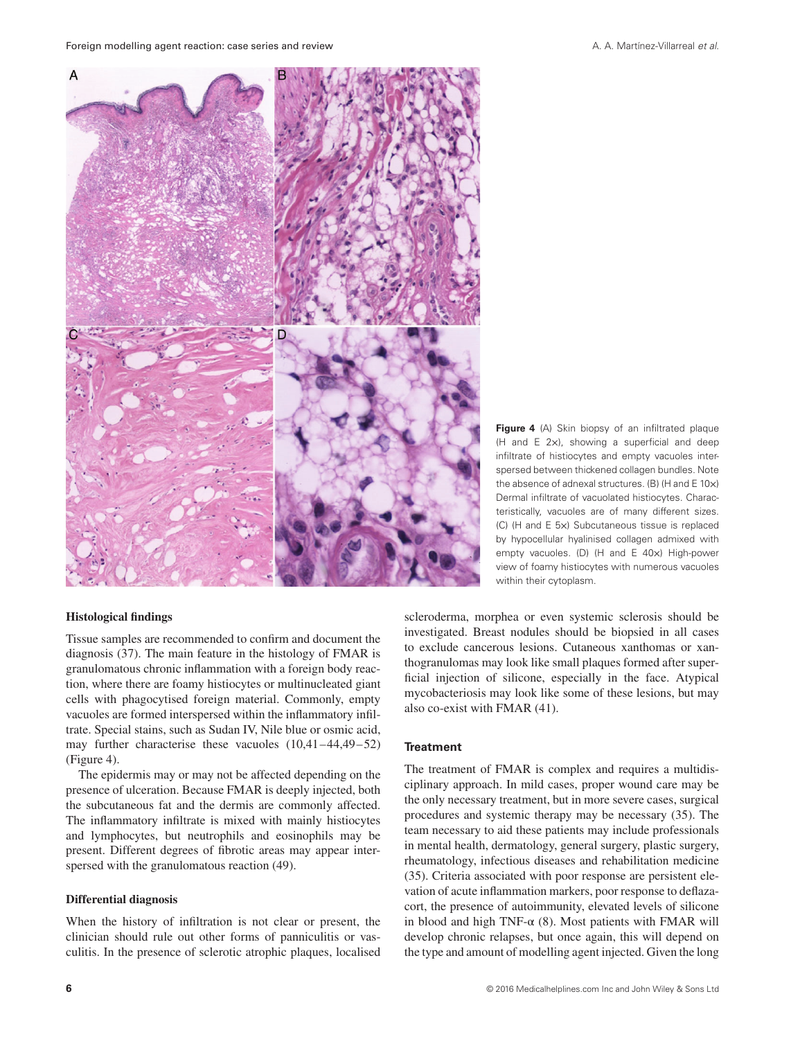

**Figure 4** (A) Skin biopsy of an infiltrated plaque (H and E 2×), showing a superficial and deep infiltrate of histiocytes and empty vacuoles interspersed between thickened collagen bundles. Note the absence of adnexal structures. (B) (H and E 10×) Dermal infiltrate of vacuolated histiocytes. Characteristically, vacuoles are of many different sizes. (C) (H and E 5×) Subcutaneous tissue is replaced by hypocellular hyalinised collagen admixed with empty vacuoles. (D) (H and E 40×) High-power view of foamy histiocytes with numerous vacuoles within their cytoplasm.

# **Histological findings**

Tissue samples are recommended to confirm and document the diagnosis (37). The main feature in the histology of FMAR is granulomatous chronic inflammation with a foreign body reaction, where there are foamy histiocytes or multinucleated giant cells with phagocytised foreign material. Commonly, empty vacuoles are formed interspersed within the inflammatory infiltrate. Special stains, such as Sudan IV, Nile blue or osmic acid, may further characterise these vacuoles (10,41–44,49–52) (Figure 4).

The epidermis may or may not be affected depending on the presence of ulceration. Because FMAR is deeply injected, both the subcutaneous fat and the dermis are commonly affected. The inflammatory infiltrate is mixed with mainly histiocytes and lymphocytes, but neutrophils and eosinophils may be present. Different degrees of fibrotic areas may appear interspersed with the granulomatous reaction (49).

#### **Differential diagnosis**

When the history of infiltration is not clear or present, the clinician should rule out other forms of panniculitis or vasculitis. In the presence of sclerotic atrophic plaques, localised scleroderma, morphea or even systemic sclerosis should be investigated. Breast nodules should be biopsied in all cases to exclude cancerous lesions. Cutaneous xanthomas or xanthogranulomas may look like small plaques formed after superficial injection of silicone, especially in the face. Atypical mycobacteriosis may look like some of these lesions, but may also co-exist with FMAR (41).

#### **Treatment**

The treatment of FMAR is complex and requires a multidisciplinary approach. In mild cases, proper wound care may be the only necessary treatment, but in more severe cases, surgical procedures and systemic therapy may be necessary (35). The team necessary to aid these patients may include professionals in mental health, dermatology, general surgery, plastic surgery, rheumatology, infectious diseases and rehabilitation medicine (35). Criteria associated with poor response are persistent elevation of acute inflammation markers, poor response to deflazacort, the presence of autoimmunity, elevated levels of silicone in blood and high TNF- $\alpha$  (8). Most patients with FMAR will develop chronic relapses, but once again, this will depend on the type and amount of modelling agent injected. Given the long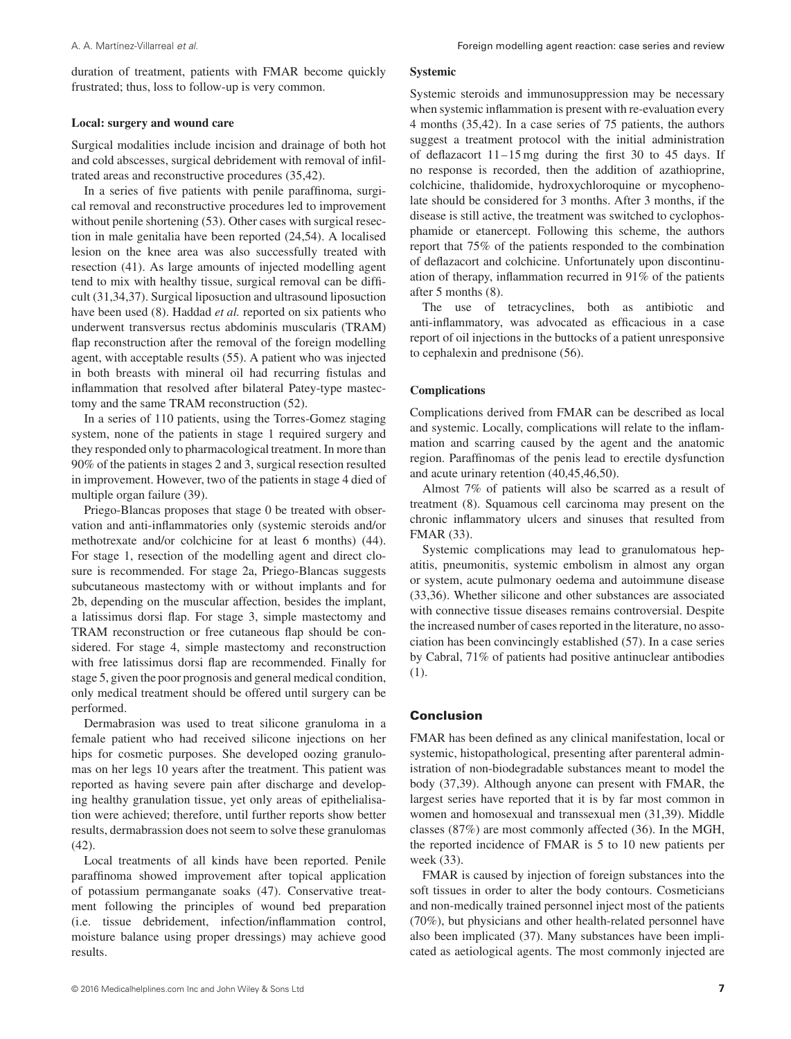duration of treatment, patients with FMAR become quickly frustrated; thus, loss to follow-up is very common.

## **Local: surgery and wound care**

Surgical modalities include incision and drainage of both hot and cold abscesses, surgical debridement with removal of infiltrated areas and reconstructive procedures (35,42).

In a series of five patients with penile paraffinoma, surgical removal and reconstructive procedures led to improvement without penile shortening (53). Other cases with surgical resection in male genitalia have been reported (24,54). A localised lesion on the knee area was also successfully treated with resection (41). As large amounts of injected modelling agent tend to mix with healthy tissue, surgical removal can be difficult (31,34,37). Surgical liposuction and ultrasound liposuction have been used (8). Haddad *et al.* reported on six patients who underwent transversus rectus abdominis muscularis (TRAM) flap reconstruction after the removal of the foreign modelling agent, with acceptable results (55). A patient who was injected in both breasts with mineral oil had recurring fistulas and inflammation that resolved after bilateral Patey-type mastectomy and the same TRAM reconstruction (52).

In a series of 110 patients, using the Torres-Gomez staging system, none of the patients in stage 1 required surgery and they responded only to pharmacological treatment. In more than 90% of the patients in stages 2 and 3, surgical resection resulted in improvement. However, two of the patients in stage 4 died of multiple organ failure (39).

Priego-Blancas proposes that stage 0 be treated with observation and anti-inflammatories only (systemic steroids and/or methotrexate and/or colchicine for at least 6 months) (44). For stage 1, resection of the modelling agent and direct closure is recommended. For stage 2a, Priego-Blancas suggests subcutaneous mastectomy with or without implants and for 2b, depending on the muscular affection, besides the implant, a latissimus dorsi flap. For stage 3, simple mastectomy and TRAM reconstruction or free cutaneous flap should be considered. For stage 4, simple mastectomy and reconstruction with free latissimus dorsi flap are recommended. Finally for stage 5, given the poor prognosis and general medical condition, only medical treatment should be offered until surgery can be performed.

Dermabrasion was used to treat silicone granuloma in a female patient who had received silicone injections on her hips for cosmetic purposes. She developed oozing granulomas on her legs 10 years after the treatment. This patient was reported as having severe pain after discharge and developing healthy granulation tissue, yet only areas of epithelialisation were achieved; therefore, until further reports show better results, dermabrassion does not seem to solve these granulomas (42).

Local treatments of all kinds have been reported. Penile paraffinoma showed improvement after topical application of potassium permanganate soaks (47). Conservative treatment following the principles of wound bed preparation (i.e. tissue debridement, infection/inflammation control, moisture balance using proper dressings) may achieve good results.

#### **Systemic**

Systemic steroids and immunosuppression may be necessary when systemic inflammation is present with re-evaluation every 4 months (35,42). In a case series of 75 patients, the authors suggest a treatment protocol with the initial administration of deflazacort  $11-15$  mg during the first 30 to 45 days. If no response is recorded, then the addition of azathioprine, colchicine, thalidomide, hydroxychloroquine or mycophenolate should be considered for 3 months. After 3 months, if the disease is still active, the treatment was switched to cyclophosphamide or etanercept. Following this scheme, the authors report that 75% of the patients responded to the combination of deflazacort and colchicine. Unfortunately upon discontinuation of therapy, inflammation recurred in 91% of the patients after 5 months (8).

The use of tetracyclines, both as antibiotic and anti-inflammatory, was advocated as efficacious in a case report of oil injections in the buttocks of a patient unresponsive to cephalexin and prednisone (56).

# **Complications**

Complications derived from FMAR can be described as local and systemic. Locally, complications will relate to the inflammation and scarring caused by the agent and the anatomic region. Paraffinomas of the penis lead to erectile dysfunction and acute urinary retention (40,45,46,50).

Almost 7% of patients will also be scarred as a result of treatment (8). Squamous cell carcinoma may present on the chronic inflammatory ulcers and sinuses that resulted from FMAR (33).

Systemic complications may lead to granulomatous hepatitis, pneumonitis, systemic embolism in almost any organ or system, acute pulmonary oedema and autoimmune disease (33,36). Whether silicone and other substances are associated with connective tissue diseases remains controversial. Despite the increased number of cases reported in the literature, no association has been convincingly established (57). In a case series by Cabral, 71% of patients had positive antinuclear antibodies (1).

# **Conclusion**

FMAR has been defined as any clinical manifestation, local or systemic, histopathological, presenting after parenteral administration of non-biodegradable substances meant to model the body (37,39). Although anyone can present with FMAR, the largest series have reported that it is by far most common in women and homosexual and transsexual men (31,39). Middle classes (87%) are most commonly affected (36). In the MGH, the reported incidence of FMAR is 5 to 10 new patients per week (33).

FMAR is caused by injection of foreign substances into the soft tissues in order to alter the body contours. Cosmeticians and non-medically trained personnel inject most of the patients (70%), but physicians and other health-related personnel have also been implicated (37). Many substances have been implicated as aetiological agents. The most commonly injected are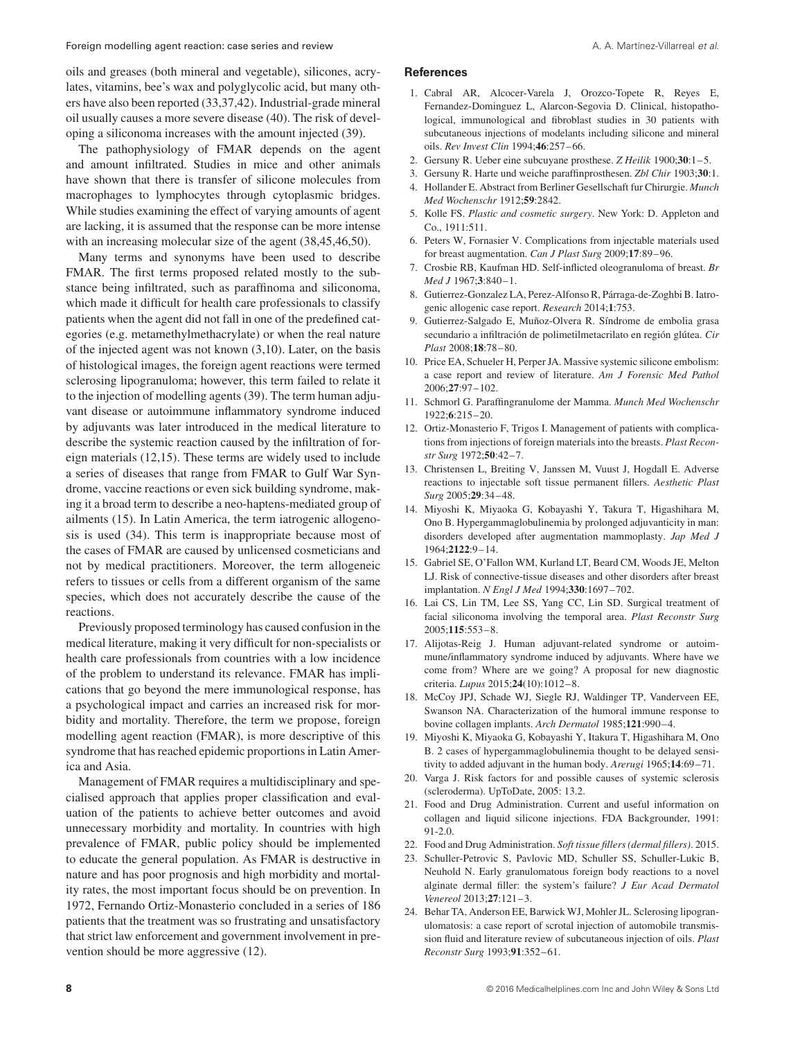oils and greases (both mineral and vegetable), silicones, acrylates, vitamins, bee's wax and polyglycolic acid, but many others have also been reported (33,37,42). Industrial-grade mineral oil usually causes a more severe disease (40). The risk of developing a siliconoma increases with the amount injected (39).

The pathophysiology of FMAR depends on the agent and amount infiltrated. Studies in mice and other animals have shown that there is transfer of silicone molecules from macrophages to lymphocytes through cytoplasmic bridges. While studies examining the effect of varying amounts of agent are lacking, it is assumed that the response can be more intense with an increasing molecular size of the agent (38,45,46,50).

Many terms and synonyms have been used to describe FMAR. The first terms proposed related mostly to the substance being infiltrated, such as paraffinoma and siliconoma, which made it difficult for health care professionals to classify patients when the agent did not fall in one of the predefined categories (e.g. metamethylmethacrylate) or when the real nature of the injected agent was not known (3,10). Later, on the basis of histological images, the foreign agent reactions were termed sclerosing lipogranuloma; however, this term failed to relate it to the injection of modelling agents (39). The term human adjuvant disease or autoimmune inflammatory syndrome induced by adjuvants was later introduced in the medical literature to describe the systemic reaction caused by the infiltration of foreign materials (12,15). These terms are widely used to include a series of diseases that range from FMAR to Gulf War Syndrome, vaccine reactions or even sick building syndrome, making it a broad term to describe a neo-haptens-mediated group of ailments (15). In Latin America, the term iatrogenic allogenosis is used (34). This term is inappropriate because most of the cases of FMAR are caused by unlicensed cosmeticians and not by medical practitioners. Moreover, the term allogeneic refers to tissues or cells from a different organism of the same species, which does not accurately describe the cause of the reactions.

Previously proposed terminology has caused confusion in the medical literature, making it very difficult for non-specialists or health care professionals from countries with a low incidence of the problem to understand its relevance. FMAR has implications that go beyond the mere immunological response, has a psychological impact and carries an increased risk for morbidity and mortality. Therefore, the term we propose, foreign modelling agent reaction (FMAR), is more descriptive of this syndrome that has reached epidemic proportions in Latin America and Asia.

Management of FMAR requires a multidisciplinary and specialised approach that applies proper classification and evaluation of the patients to achieve better outcomes and avoid unnecessary morbidity and mortality. In countries with high prevalence of FMAR, public policy should be implemented to educate the general population. As FMAR is destructive in nature and has poor prognosis and high morbidity and mortality rates, the most important focus should be on prevention. In 1972, Fernando Ortiz-Monasterio concluded in a series of 186 patients that the treatment was so frustrating and unsatisfactory that strict law enforcement and government involvement in prevention should be more aggressive (12).

#### **References**

- 1. Cabral AR, Alcocer-Varela J, Orozco-Topete R, Reyes E, Fernandez-Dominguez L, Alarcon-Segovia D. Clinical, histopathological, immunological and fibroblast studies in 30 patients with subcutaneous injections of modelants including silicone and mineral oils. *Rev Invest Clin* 1994;**46**:257–66.
- 2. Gersuny R. Ueber eine subcuyane prosthese. *Z Heilik* 1900;**30**:1–5.
- 3. Gersuny R. Harte und weiche paraffinprosthesen. *Zbl Chir* 1903;**30**:1.
- 4. Hollander E. Abstract from Berliner Gesellschaft fur Chirurgie. *Munch Med Wochenschr* 1912;**59**:2842.
- 5. Kolle FS. *Plastic and cosmetic surgery*. New York: D. Appleton and Co., 1911:511.
- 6. Peters W, Fornasier V. Complications from injectable materials used for breast augmentation. *Can J Plast Surg* 2009;**17**:89–96.
- 7. Crosbie RB, Kaufman HD. Self-inflicted oleogranuloma of breast. *Br Med J* 1967;**3**:840–1.
- 8. Gutierrez-Gonzalez LA, Perez-Alfonso R, Párraga-de-Zoghbi B. Iatrogenic allogenic case report. *Research* 2014;**1**:753.
- 9. Gutierrez-Salgado E, Muñoz-Olvera R. Síndrome de embolia grasa secundario a infiltración de polimetilmetacrilato en región glútea. *Cir Plast* 2008;**18**:78–80.
- 10. Price EA, Schueler H, Perper JA. Massive systemic silicone embolism: a case report and review of literature. *Am J Forensic Med Pathol* 2006;**27**:97–102.
- 11. Schmorl G. Paraffingranulome der Mamma. *Munch Med Wochenschr* 1922;**6**:215–20.
- 12. Ortiz-Monasterio F, Trigos I. Management of patients with complications from injections of foreign materials into the breasts. *Plast Reconstr Surg* 1972;**50**:42–7.
- 13. Christensen L, Breiting V, Janssen M, Vuust J, Hogdall E. Adverse reactions to injectable soft tissue permanent fillers. *Aesthetic Plast Surg* 2005;**29**:34–48.
- 14. Miyoshi K, Miyaoka G, Kobayashi Y, Takura T, Higashihara M, Ono B. Hypergammaglobulinemia by prolonged adjuvanticity in man: disorders developed after augmentation mammoplasty. *Jap Med J* 1964;**2122**:9–14.
- 15. Gabriel SE, O'Fallon WM, Kurland LT, Beard CM, Woods JE, Melton LJ. Risk of connective-tissue diseases and other disorders after breast implantation. *N Engl J Med* 1994;**330**:1697–702.
- 16. Lai CS, Lin TM, Lee SS, Yang CC, Lin SD. Surgical treatment of facial siliconoma involving the temporal area. *Plast Reconstr Surg* 2005;**115**:553–8.
- 17. Alijotas-Reig J. Human adjuvant-related syndrome or autoimmune/inflammatory syndrome induced by adjuvants. Where have we come from? Where are we going? A proposal for new diagnostic criteria. *Lupus* 2015;**24**(10):1012–8.
- 18. McCoy JPJ, Schade WJ, Siegle RJ, Waldinger TP, Vanderveen EE, Swanson NA. Characterization of the humoral immune response to bovine collagen implants. *Arch Dermatol* 1985;**121**:990–4.
- 19. Miyoshi K, Miyaoka G, Kobayashi Y, Itakura T, Higashihara M, Ono B. 2 cases of hypergammaglobulinemia thought to be delayed sensitivity to added adjuvant in the human body. *Arerugi* 1965;**14**:69–71.
- 20. Varga J. Risk factors for and possible causes of systemic sclerosis (scleroderma). UpToDate, 2005: 13.2.
- 21. Food and Drug Administration. Current and useful information on collagen and liquid silicone injections. FDA Backgrounder, 1991: 91-2.0.
- 22. Food and Drug Administration. *Soft tissue fillers (dermal fillers)*. 2015.
- 23. Schuller-Petrovic S, Pavlovic MD, Schuller SS, Schuller-Lukic B, Neuhold N. Early granulomatous foreign body reactions to a novel alginate dermal filler: the system's failure? *J Eur Acad Dermatol Venereol* 2013;**27**:121–3.
- 24. Behar TA, Anderson EE, Barwick WJ, Mohler JL. Sclerosing lipogranulomatosis: a case report of scrotal injection of automobile transmission fluid and literature review of subcutaneous injection of oils. *Plast Reconstr Surg* 1993;**91**:352–61.